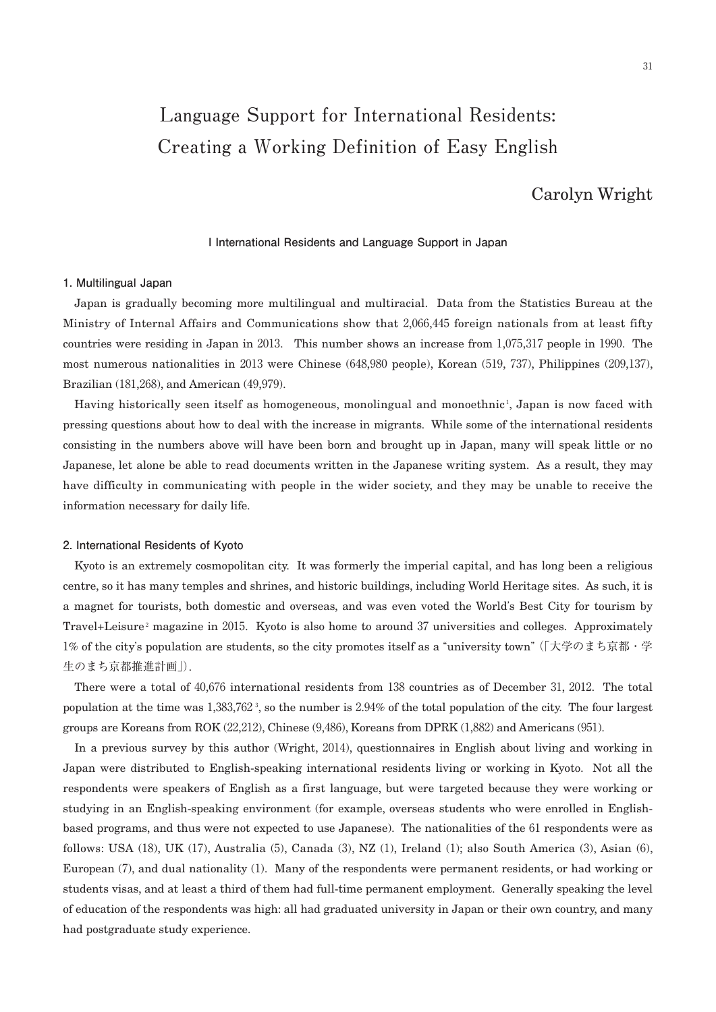# **Language Support for International Residents: Creating a Working Definition of Easy English**

# Carolyn Wright

#### **I International Residents and Language Support in Japan**

#### **1. Multilingual Japan**

Japan is gradually becoming more multilingual and multiracial. Data from the Statistics Bureau at the Ministry of Internal Affairs and Communications show that 2,066,445 foreign nationals from at least fifty countries were residing in Japan in 2013. This number shows an increase from 1,075,317 people in 1990. The most numerous nationalities in 2013 were Chinese (648,980 people), Korean (519, 737), Philippines (209,137), Brazilian (181,268), and American (49,979).

Having historically seen itself as homogeneous, monolingual and monoethnic <sup>1</sup> , Japan is now faced with pressing questions about how to deal with the increase in migrants. While some of the international residents consisting in the numbers above will have been born and brought up in Japan, many will speak little or no Japanese, let alone be able to read documents written in the Japanese writing system. As a result, they may have difficulty in communicating with people in the wider society, and they may be unable to receive the information necessary for daily life.

# **2. International Residents of Kyoto**

Kyoto is an extremely cosmopolitan city. It was formerly the imperial capital, and has long been a religious centre, so it has many temples and shrines, and historic buildings, including World Heritage sites. As such, it is a magnet for tourists, both domestic and overseas, and was even voted the World's Best City for tourism by Travel+Leisure<sup>2</sup> magazine in 2015. Kyoto is also home to around 37 universities and colleges. Approximately 1% of the city's population are students, so the city promotes itself as a "university town"(「大学のまち京都・学 生のまち京都推進計画」).

There were a total of 40,676 international residents from 138 countries as of December 31, 2012. The total population at the time was 1,383,762 <sup>3</sup> , so the number is 2.94% of the total population of the city. The four largest groups are Koreans from ROK (22,212), Chinese (9,486), Koreans from DPRK (1,882) and Americans (951).

In a previous survey by this author (Wright, 2014), questionnaires in English about living and working in Japan were distributed to English-speaking international residents living or working in Kyoto. Not all the respondents were speakers of English as a first language, but were targeted because they were working or studying in an English-speaking environment (for example, overseas students who were enrolled in Englishbased programs, and thus were not expected to use Japanese). The nationalities of the 61 respondents were as follows: USA (18), UK (17), Australia (5), Canada (3), NZ (1), Ireland (1); also South America (3), Asian (6), European (7), and dual nationality (1). Many of the respondents were permanent residents, or had working or students visas, and at least a third of them had full-time permanent employment. Generally speaking the level of education of the respondents was high: all had graduated university in Japan or their own country, and many had postgraduate study experience.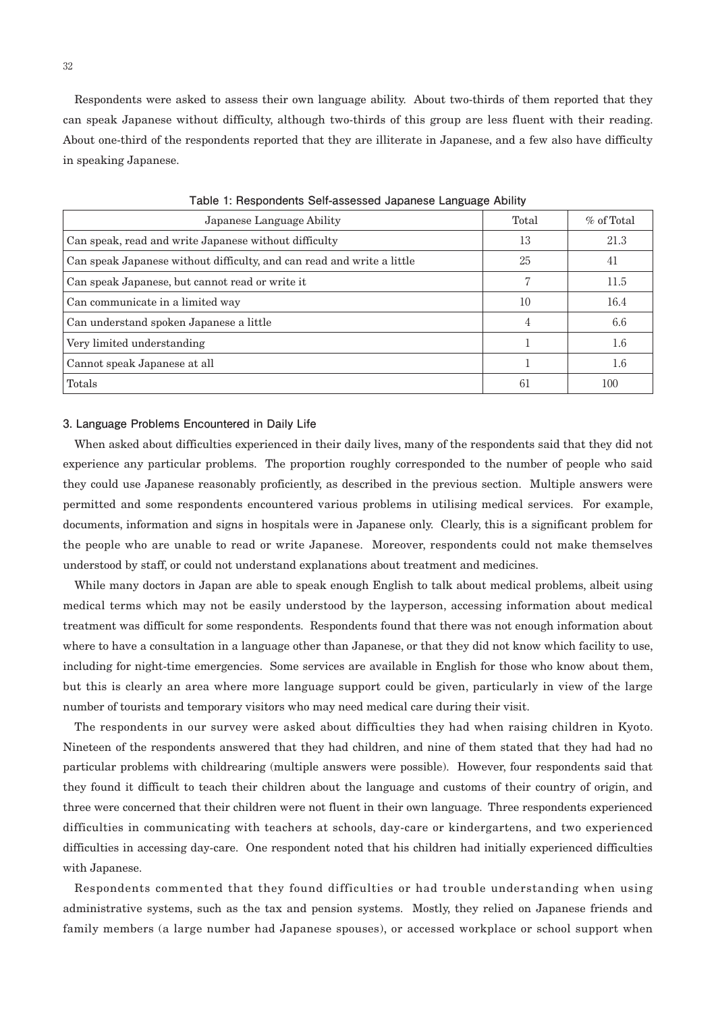Respondents were asked to assess their own language ability. About two-thirds of them reported that they can speak Japanese without difficulty, although two-thirds of this group are less fluent with their reading. About one-third of the respondents reported that they are illiterate in Japanese, and a few also have difficulty in speaking Japanese.

| Japanese Language Ability                                              | Total | % of Total |
|------------------------------------------------------------------------|-------|------------|
| Can speak, read and write Japanese without difficulty                  | 13    | 21.3       |
| Can speak Japanese without difficulty, and can read and write a little | 25    | 41         |
| Can speak Japanese, but cannot read or write it                        |       | 11.5       |
| Can communicate in a limited way                                       | 10    | 16.4       |
| Can understand spoken Japanese a little                                | 4     | 6.6        |
| Very limited understanding                                             |       | 1.6        |
| Cannot speak Japanese at all                                           |       | 1.6        |
| Totals                                                                 | 61    | 100        |

**Table 1: Respondents Self-assessed Japanese Language Ability**

#### **3. Language Problems Encountered in Daily Life**

When asked about difficulties experienced in their daily lives, many of the respondents said that they did not experience any particular problems. The proportion roughly corresponded to the number of people who said they could use Japanese reasonably proficiently, as described in the previous section. Multiple answers were permitted and some respondents encountered various problems in utilising medical services. For example, documents, information and signs in hospitals were in Japanese only. Clearly, this is a significant problem for the people who are unable to read or write Japanese. Moreover, respondents could not make themselves understood by staff, or could not understand explanations about treatment and medicines.

While many doctors in Japan are able to speak enough English to talk about medical problems, albeit using medical terms which may not be easily understood by the layperson, accessing information about medical treatment was difficult for some respondents. Respondents found that there was not enough information about where to have a consultation in a language other than Japanese, or that they did not know which facility to use, including for night-time emergencies. Some services are available in English for those who know about them, but this is clearly an area where more language support could be given, particularly in view of the large number of tourists and temporary visitors who may need medical care during their visit.

The respondents in our survey were asked about difficulties they had when raising children in Kyoto. Nineteen of the respondents answered that they had children, and nine of them stated that they had had no particular problems with childrearing (multiple answers were possible). However, four respondents said that they found it difficult to teach their children about the language and customs of their country of origin, and three were concerned that their children were not fluent in their own language. Three respondents experienced difficulties in communicating with teachers at schools, day-care or kindergartens, and two experienced difficulties in accessing day-care. One respondent noted that his children had initially experienced difficulties with Japanese.

Respondents commented that they found difficulties or had trouble understanding when using administrative systems, such as the tax and pension systems. Mostly, they relied on Japanese friends and family members (a large number had Japanese spouses), or accessed workplace or school support when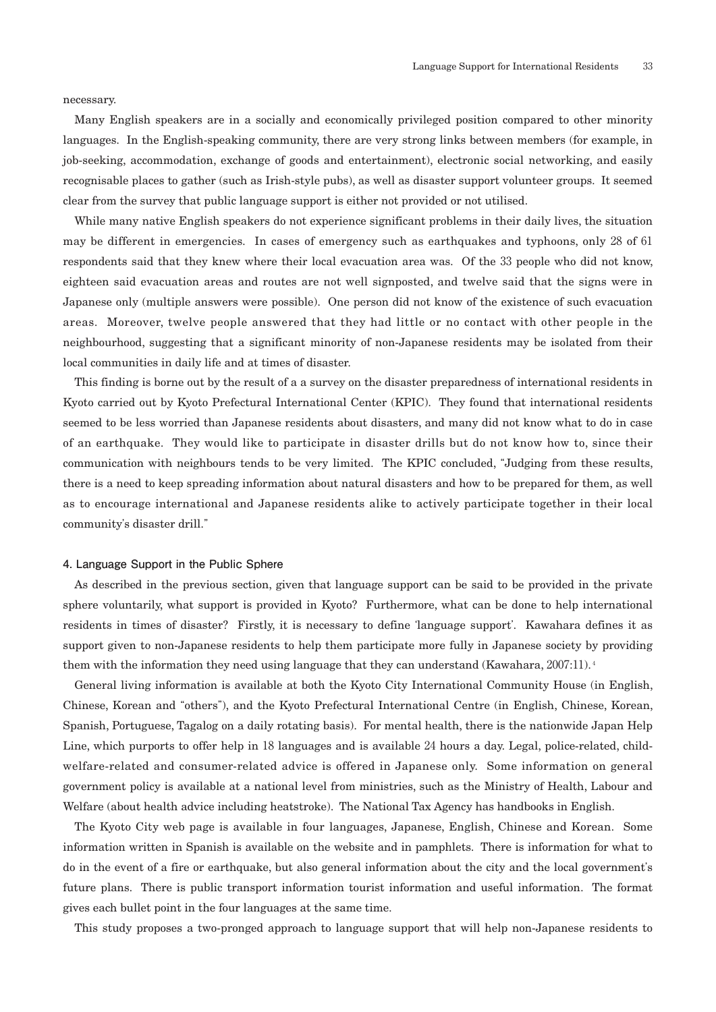necessary.

Many English speakers are in a socially and economically privileged position compared to other minority languages. In the English-speaking community, there are very strong links between members (for example, in job-seeking, accommodation, exchange of goods and entertainment), electronic social networking, and easily recognisable places to gather (such as Irish-style pubs), as well as disaster support volunteer groups. It seemed clear from the survey that public language support is either not provided or not utilised.

While many native English speakers do not experience significant problems in their daily lives, the situation may be different in emergencies. In cases of emergency such as earthquakes and typhoons, only 28 of 61 respondents said that they knew where their local evacuation area was. Of the 33 people who did not know, eighteen said evacuation areas and routes are not well signposted, and twelve said that the signs were in Japanese only (multiple answers were possible). One person did not know of the existence of such evacuation areas. Moreover, twelve people answered that they had little or no contact with other people in the neighbourhood, suggesting that a significant minority of non-Japanese residents may be isolated from their local communities in daily life and at times of disaster.

This finding is borne out by the result of a a survey on the disaster preparedness of international residents in Kyoto carried out by Kyoto Prefectural International Center (KPIC). They found that international residents seemed to be less worried than Japanese residents about disasters, and many did not know what to do in case of an earthquake. They would like to participate in disaster drills but do not know how to, since their communication with neighbours tends to be very limited. The KPIC concluded, "Judging from these results, there is a need to keep spreading information about natural disasters and how to be prepared for them, as well as to encourage international and Japanese residents alike to actively participate together in their local community's disaster drill."

#### **4. Language Support in the Public Sphere**

As described in the previous section, given that language support can be said to be provided in the private sphere voluntarily, what support is provided in Kyoto? Furthermore, what can be done to help international residents in times of disaster? Firstly, it is necessary to define ʻlanguage support'. Kawahara defines it as support given to non-Japanese residents to help them participate more fully in Japanese society by providing them with the information they need using language that they can understand (Kawahara, 2007:11). <sup>4</sup>

General living information is available at both the Kyoto City International Community House (in English, Chinese, Korean and "others"), and the Kyoto Prefectural International Centre (in English, Chinese, Korean, Spanish, Portuguese, Tagalog on a daily rotating basis). For mental health, there is the nationwide Japan Help Line, which purports to offer help in 18 languages and is available 24 hours a day. Legal, police-related, childwelfare-related and consumer-related advice is offered in Japanese only. Some information on general government policy is available at a national level from ministries, such as the Ministry of Health, Labour and Welfare (about health advice including heatstroke). The National Tax Agency has handbooks in English.

The Kyoto City web page is available in four languages, Japanese, English, Chinese and Korean. Some information written in Spanish is available on the website and in pamphlets. There is information for what to do in the event of a fire or earthquake, but also general information about the city and the local government's future plans. There is public transport information tourist information and useful information. The format gives each bullet point in the four languages at the same time.

This study proposes a two-pronged approach to language support that will help non-Japanese residents to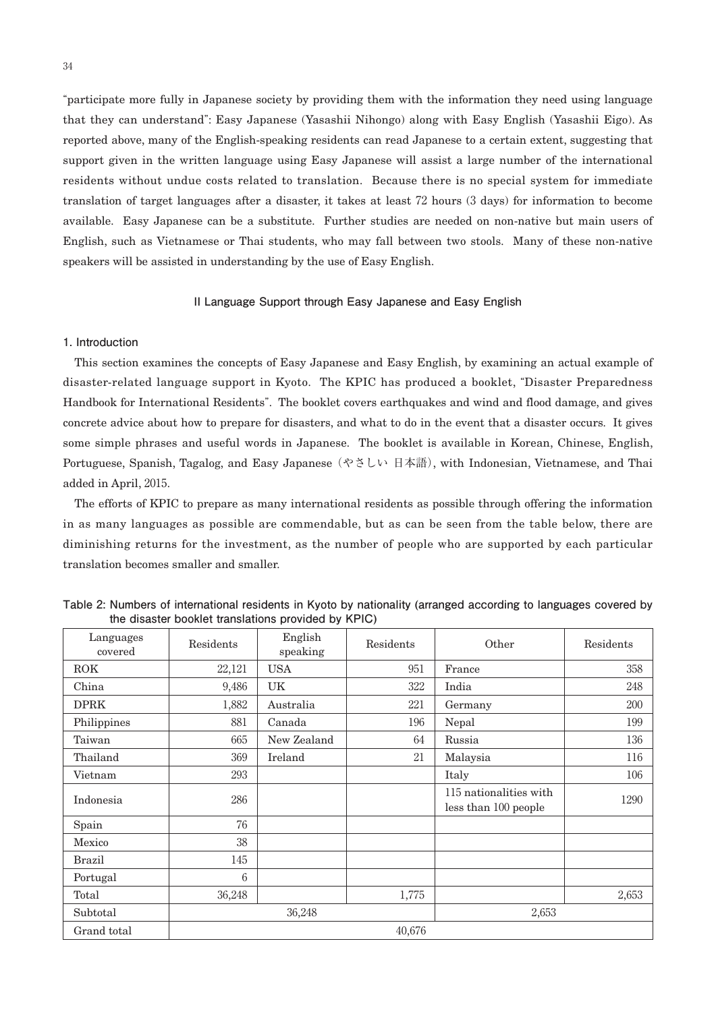"participate more fully in Japanese society by providing them with the information they need using language that they can understand": Easy Japanese (Yasashii Nihongo) along with Easy English (Yasashii Eigo). As reported above, many of the English-speaking residents can read Japanese to a certain extent, suggesting that support given in the written language using Easy Japanese will assist a large number of the international residents without undue costs related to translation. Because there is no special system for immediate translation of target languages after a disaster, it takes at least 72 hours (3 days) for information to become available. Easy Japanese can be a substitute. Further studies are needed on non-native but main users of English, such as Vietnamese or Thai students, who may fall between two stools. Many of these non-native speakers will be assisted in understanding by the use of Easy English.

# **II Language Support through Easy Japanese and Easy English**

# **1. Introduction**

This section examines the concepts of Easy Japanese and Easy English, by examining an actual example of disaster-related language support in Kyoto. The KPIC has produced a booklet, "Disaster Preparedness Handbook for International Residents". The booklet covers earthquakes and wind and flood damage, and gives concrete advice about how to prepare for disasters, and what to do in the event that a disaster occurs. It gives some simple phrases and useful words in Japanese. The booklet is available in Korean, Chinese, English, Portuguese, Spanish, Tagalog, and Easy Japanese (やさしい 日本語), with Indonesian, Vietnamese, and Thai added in April, 2015.

The efforts of KPIC to prepare as many international residents as possible through offering the information in as many languages as possible are commendable, but as can be seen from the table below, there are diminishing returns for the investment, as the number of people who are supported by each particular translation becomes smaller and smaller.

| Languages<br>covered | Residents | English<br>speaking | Residents | Other                                          | Residents |  |
|----------------------|-----------|---------------------|-----------|------------------------------------------------|-----------|--|
| <b>ROK</b>           | 22,121    | <b>USA</b>          | 951       | France                                         | 358       |  |
| China                | 9,486     | UK                  | 322       | India                                          | 248       |  |
| <b>DPRK</b>          | 1,882     | Australia           | 221       | Germany                                        | 200       |  |
| Philippines          | 881       | Canada              | 196       | Nepal                                          | 199       |  |
| Taiwan               | 665       | New Zealand         | 64        | Russia                                         | 136       |  |
| Thailand             | 369       | Ireland             | 21        | Malaysia                                       | 116       |  |
| Vietnam              | 293       |                     |           | Italy                                          | 106       |  |
| Indonesia            | 286       |                     |           | 115 nationalities with<br>less than 100 people | 1290      |  |
| Spain                | 76        |                     |           |                                                |           |  |
| Mexico               | 38        |                     |           |                                                |           |  |
| <b>Brazil</b>        | 145       |                     |           |                                                |           |  |
| Portugal             | 6         |                     |           |                                                |           |  |
| Total                | 36,248    |                     | 1,775     |                                                | 2,653     |  |
| Subtotal             |           | 36,248              |           | 2,653                                          |           |  |
| Grand total          | 40,676    |                     |           |                                                |           |  |

**Table 2: Numbers of international residents in Kyoto by nationality (arranged according to languages covered by the disaster booklet translations provided by KPIC)**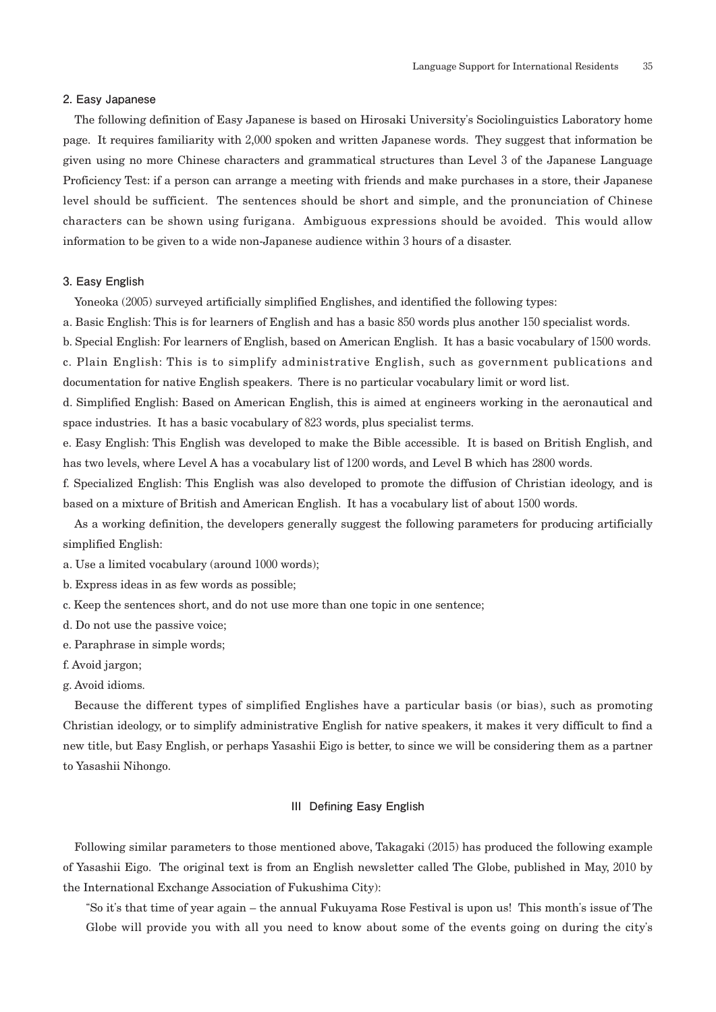#### **2. Easy Japanese**

The following definition of Easy Japanese is based on Hirosaki University's Sociolinguistics Laboratory home page. It requires familiarity with 2,000 spoken and written Japanese words. They suggest that information be given using no more Chinese characters and grammatical structures than Level 3 of the Japanese Language Proficiency Test: if a person can arrange a meeting with friends and make purchases in a store, their Japanese level should be sufficient. The sentences should be short and simple, and the pronunciation of Chinese characters can be shown using furigana. Ambiguous expressions should be avoided. This would allow information to be given to a wide non-Japanese audience within 3 hours of a disaster.

#### **3. Easy English**

Yoneoka (2005) surveyed artificially simplified Englishes, and identified the following types:

a. Basic English: This is for learners of English and has a basic 850 words plus another 150 specialist words.

b. Special English: For learners of English, based on American English. It has a basic vocabulary of 1500 words.

c. Plain English: This is to simplify administrative English, such as government publications and documentation for native English speakers. There is no particular vocabulary limit or word list.

d. Simplified English: Based on American English, this is aimed at engineers working in the aeronautical and space industries. It has a basic vocabulary of 823 words, plus specialist terms.

e. Easy English: This English was developed to make the Bible accessible. It is based on British English, and has two levels, where Level A has a vocabulary list of 1200 words, and Level B which has 2800 words.

f. Specialized English: This English was also developed to promote the diffusion of Christian ideology, and is based on a mixture of British and American English. It has a vocabulary list of about 1500 words.

As a working definition, the developers generally suggest the following parameters for producing artificially simplified English:

a. Use a limited vocabulary (around 1000 words);

b. Express ideas in as few words as possible;

c. Keep the sentences short, and do not use more than one topic in one sentence;

d. Do not use the passive voice;

e. Paraphrase in simple words;

- f. Avoid jargon;
- g. Avoid idioms.

Because the different types of simplified Englishes have a particular basis (or bias), such as promoting Christian ideology, or to simplify administrative English for native speakers, it makes it very difficult to find a new title, but Easy English, or perhaps Yasashii Eigo is better, to since we will be considering them as a partner to Yasashii Nihongo.

#### **III Defining Easy English**

Following similar parameters to those mentioned above, Takagaki (2015) has produced the following example of Yasashii Eigo. The original text is from an English newsletter called The Globe, published in May, 2010 by the International Exchange Association of Fukushima City):

"So it's that time of year again – the annual Fukuyama Rose Festival is upon us! This month's issue of The Globe will provide you with all you need to know about some of the events going on during the city's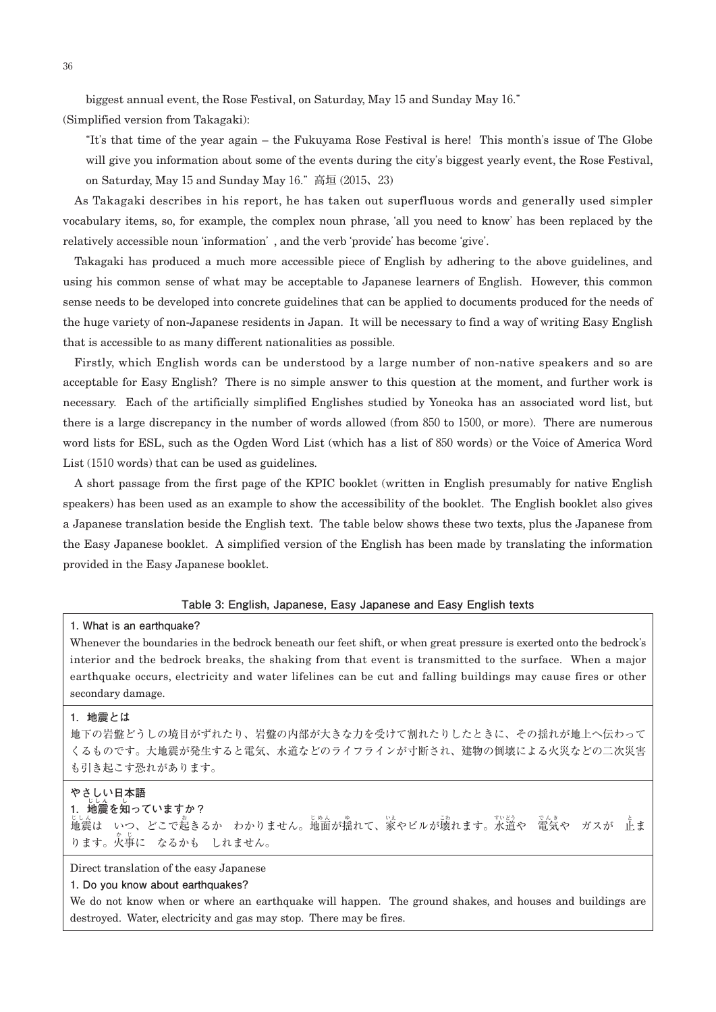biggest annual event, the Rose Festival, on Saturday, May 15 and Sunday May 16."

(Simplified version from Takagaki):

"It's that time of the year again – the Fukuyama Rose Festival is here! This month's issue of The Globe will give you information about some of the events during the city's biggest yearly event, the Rose Festival, on Saturday, May 15 and Sunday May 16." 高垣 (2015、23)

As Takagaki describes in his report, he has taken out superfluous words and generally used simpler vocabulary items, so, for example, the complex noun phrase, ʻall you need to know' has been replaced by the relatively accessible noun ʻinformation' , and the verb ʻprovide' has become ʻgive'.

Takagaki has produced a much more accessible piece of English by adhering to the above guidelines, and using his common sense of what may be acceptable to Japanese learners of English. However, this common sense needs to be developed into concrete guidelines that can be applied to documents produced for the needs of the huge variety of non-Japanese residents in Japan. It will be necessary to find a way of writing Easy English that is accessible to as many different nationalities as possible.

Firstly, which English words can be understood by a large number of non-native speakers and so are acceptable for Easy English? There is no simple answer to this question at the moment, and further work is necessary. Each of the artificially simplified Englishes studied by Yoneoka has an associated word list, but there is a large discrepancy in the number of words allowed (from 850 to 1500, or more). There are numerous word lists for ESL, such as the Ogden Word List (which has a list of 850 words) or the Voice of America Word List (1510 words) that can be used as guidelines.

A short passage from the first page of the KPIC booklet (written in English presumably for native English speakers) has been used as an example to show the accessibility of the booklet. The English booklet also gives a Japanese translation beside the English text. The table below shows these two texts, plus the Japanese from the Easy Japanese booklet. A simplified version of the English has been made by translating the information provided in the Easy Japanese booklet.

#### **Table 3: English, Japanese, Easy Japanese and Easy English texts**

#### **1. What is an earthquake?**

Whenever the boundaries in the bedrock beneath our feet shift, or when great pressure is exerted onto the bedrock's interior and the bedrock breaks, the shaking from that event is transmitted to the surface. When a major earthquake occurs, electricity and water lifelines can be cut and falling buildings may cause fires or other secondary damage.

# **1.地震とは**

地下の岩盤どうしの境目がずれたり、岩盤の内部が大きな力を受けて割れたりしたときに、その揺れが地上へ伝わって くるものです。大地震が発生すると電気、水道などのライフラインが寸断され、建物の倒壊による火災などの二次災害 も引き起こす恐れがあります。

#### **やさしい日本語**

**1.地じしん 震を知し っていますか?**

じしん いつ、どこで起きるか わかりません。地面が揺れて、家やビルが壊れます。水営や 電気や ガスが 止ま ります。火事に なるかも しれません。

#### Direct translation of the easy Japanese

#### **1. Do you know about earthquakes?**

We do not know when or where an earthquake will happen. The ground shakes, and houses and buildings are destroyed. Water, electricity and gas may stop. There may be fires.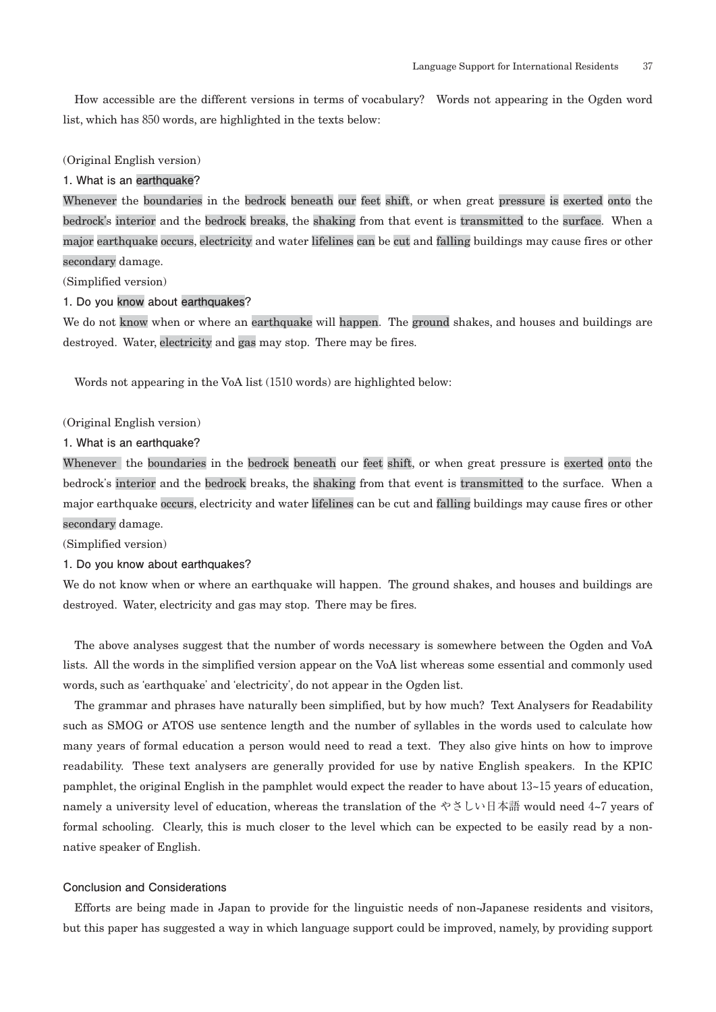How accessible are the different versions in terms of vocabulary? Words not appearing in the Ogden word list, which has 850 words, are highlighted in the texts below:

#### (Original English version)

#### **1. What is an earthquake?**

Whenever the boundaries in the bedrock beneath our feet shift, or when great pressure is exerted onto the bedrock's interior and the bedrock breaks, the shaking from that event is transmitted to the surface. When a major earthquake occurs, electricity and water lifelines can be cut and falling buildings may cause fires or other secondary damage.

(Simplified version)

# **1. Do you know about earthquakes?**

We do not know when or where an earthquake will happen. The ground shakes, and houses and buildings are destroyed. Water, electricity and gas may stop. There may be fires.

Words not appearing in the VoA list (1510 words) are highlighted below:

# (Original English version)

# **1. What is an earthquake?**

Whenever the boundaries in the bedrock beneath our feet shift, or when great pressure is exerted onto the bedrock's interior and the bedrock breaks, the shaking from that event is transmitted to the surface. When a major earthquake occurs, electricity and water lifelines can be cut and falling buildings may cause fires or other secondary damage.

(Simplified version)

#### **1. Do you know about earthquakes?**

We do not know when or where an earthquake will happen. The ground shakes, and houses and buildings are destroyed. Water, electricity and gas may stop. There may be fires.

The above analyses suggest that the number of words necessary is somewhere between the Ogden and VoA lists. All the words in the simplified version appear on the VoA list whereas some essential and commonly used words, such as ʻearthquake' and ʻelectricity', do not appear in the Ogden list.

The grammar and phrases have naturally been simplified, but by how much? Text Analysers for Readability such as SMOG or ATOS use sentence length and the number of syllables in the words used to calculate how many years of formal education a person would need to read a text. They also give hints on how to improve readability. These text analysers are generally provided for use by native English speakers. In the KPIC pamphlet, the original English in the pamphlet would expect the reader to have about 13~15 years of education, namely a university level of education, whereas the translation of the やさしい日本語 would need 4~7 years of formal schooling. Clearly, this is much closer to the level which can be expected to be easily read by a nonnative speaker of English.

# **Conclusion and Considerations**

Efforts are being made in Japan to provide for the linguistic needs of non-Japanese residents and visitors, but this paper has suggested a way in which language support could be improved, namely, by providing support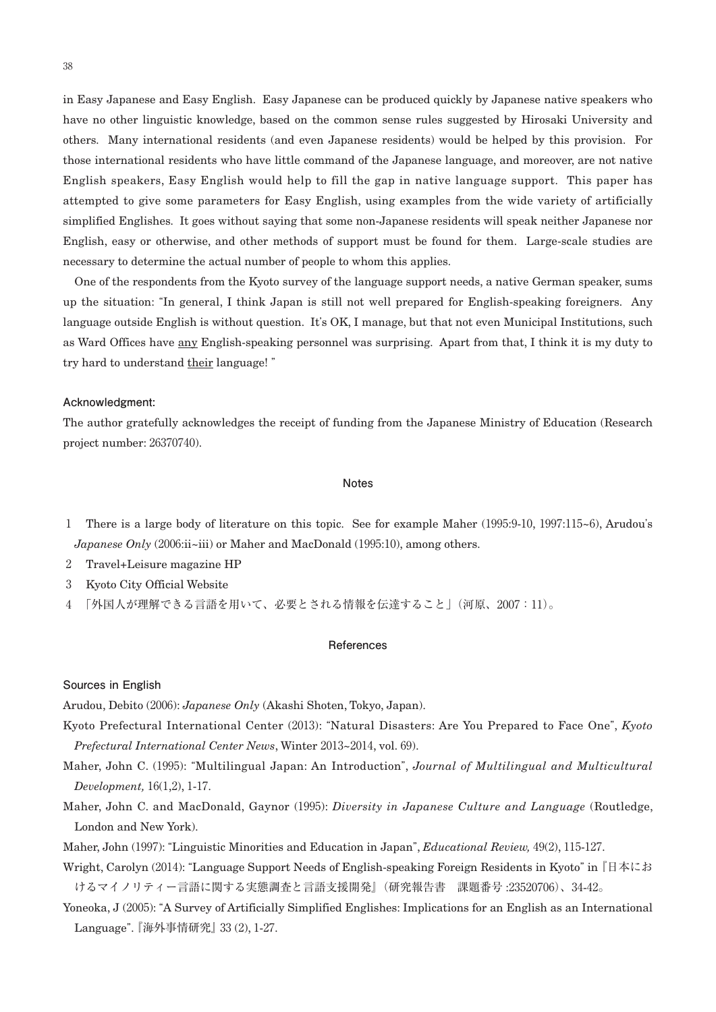in Easy Japanese and Easy English. Easy Japanese can be produced quickly by Japanese native speakers who have no other linguistic knowledge, based on the common sense rules suggested by Hirosaki University and others. Many international residents (and even Japanese residents) would be helped by this provision. For those international residents who have little command of the Japanese language, and moreover, are not native English speakers, Easy English would help to fill the gap in native language support. This paper has attempted to give some parameters for Easy English, using examples from the wide variety of artificially simplified Englishes. It goes without saying that some non-Japanese residents will speak neither Japanese nor English, easy or otherwise, and other methods of support must be found for them. Large-scale studies are necessary to determine the actual number of people to whom this applies.

One of the respondents from the Kyoto survey of the language support needs, a native German speaker, sums up the situation: "In general, I think Japan is still not well prepared for English-speaking foreigners. Any language outside English is without question. It's OK, I manage, but that not even Municipal Institutions, such as Ward Offices have any English-speaking personnel was surprising. Apart from that, I think it is my duty to try hard to understand their language! "

# **Acknowledgment:**

The author gratefully acknowledges the receipt of funding from the Japanese Ministry of Education (Research project number: 26370740).

#### **Notes**

- 1 There is a large body of literature on this topic. See for example Maher (1995:9-10, 1997:115~6), Arudou's *Japanese Only* (2006:ii~iii) or Maher and MacDonald (1995:10), among others.
- 2 Travel+Leisure magazine HP
- 3 Kyoto City Official Website
- 4 「外国人が理解できる言語を用いて、必要とされる情報を伝達すること」(河原、2007:11)。

#### **References**

#### **Sources in English**

Arudou, Debito (2006): *Japanese Only* (Akashi Shoten, Tokyo, Japan).

- Kyoto Prefectural International Center (2013): "Natural Disasters: Are You Prepared to Face One", *Kyoto Prefectural International Center News*, Winter 2013~2014, vol. 69).
- Maher, John C. (1995): "Multilingual Japan: An Introduction", *Journal of Multilingual and Multicultural Development,* 16(1,2), 1-17.
- Maher, John C. and MacDonald, Gaynor (1995): *Diversity in Japanese Culture and Language* (Routledge, London and New York).
- Maher, John (1997): "Linguistic Minorities and Education in Japan", *Educational Review,* 49(2), 115-127.
- Wright, Carolyn (2014): "Language Support Needs of English-speaking Foreign Residents in Kyoto" in 『日本にお けるマイノリティー言語に関する実態調査と言語支援開発』(研究報告書 課題番号 :23520706)、34-42。
- Yoneoka, J (2005): "A Survey of Artificially Simplified Englishes: Implications for an English as an International Language". 『海外事情研究』33 (2), 1-27.